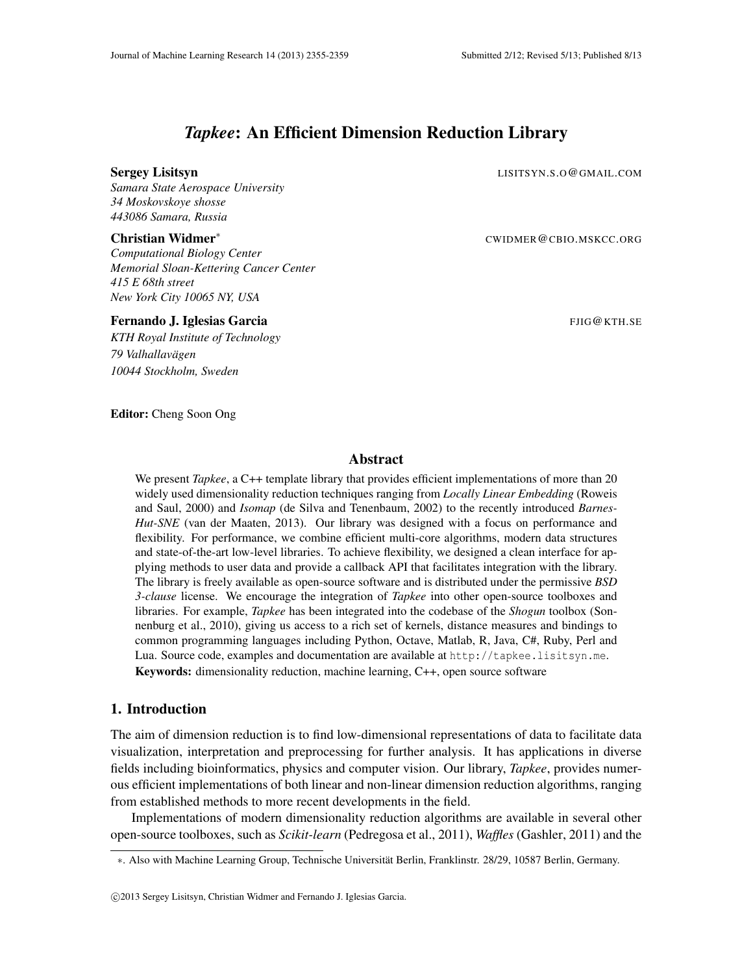# *Tapkee*: An Efficient Dimension Reduction Library

#### Sergey Lisitsyn and the series of the community of the community community  $\text{LISTTSYN.S. O @ GMAIL. COM}$

*Samara State Aerospace University 34 Moskovskoye shosse 443086 Samara, Russia*

### Christian Widmer<sup>∗</sup> CWIDMER@CBIO.MSKCC.ORG

*Computational Biology Center Memorial Sloan-Kettering Cancer Center 415 E 68th street New York City 10065 NY, USA*

### **Fernando J. Iglesias Garcia** FJIG **Carcia** FIIG CALLET AND THE SERIES FOR THE SERIES FOR SERIES FOR SERIES SERIES

*KTH Royal Institute of Technology 79 Valhallavagen ¨ 10044 Stockholm, Sweden*

#### Editor: Cheng Soon Ong

### Abstract

We present *Tapkee*, a C++ template library that provides efficient implementations of more than 20 widely used dimensionality reduction techniques ranging from *Locally Linear Embedding* (Roweis and Saul, 2000) and *Isomap* (de Silva and Tenenbaum, 2002) to the recently introduced *Barnes-Hut-SNE* (van der Maaten, 2013). Our library was designed with a focus on performance and flexibility. For performance, we combine efficient multi-core algorithms, modern data structures and state-of-the-art low-level libraries. To achieve flexibility, we designed a clean interface for applying methods to user data and provide a callback API that facilitates integration with the library. The library is freely available as open-source software and is distributed under the permissive *BSD 3-clause* license. We encourage the integration of *Tapkee* into other open-source toolboxes and libraries. For example, *Tapkee* has been integrated into the codebase of the *Shogun* toolbox (Sonnenburg et al., 2010), giving us access to a rich set of kernels, distance measures and bindings to common programming languages including Python, Octave, Matlab, R, Java, C#, Ruby, Perl and Lua. Source code, examples and documentation are available at http://tapkee.lisitsyn.me. Keywords: dimensionality reduction, machine learning, C++, open source software

# 1. Introduction

The aim of dimension reduction is to find low-dimensional representations of data to facilitate data visualization, interpretation and preprocessing for further analysis. It has applications in diverse fields including bioinformatics, physics and computer vision. Our library, *Tapkee*, provides numerous efficient implementations of both linear and non-linear dimension reduction algorithms, ranging from established methods to more recent developments in the field.

Implementations of modern dimensionality reduction algorithms are available in several other open-source toolboxes, such as *Scikit-learn* (Pedregosa et al., 2011), *Waffles* (Gashler, 2011) and the

<sup>∗</sup>. Also with Machine Learning Group, Technische Universitat Berlin, Franklinstr. 28/29, 10587 Berlin, Germany. ¨

c 2013 Sergey Lisitsyn, Christian Widmer and Fernando J. Iglesias Garcia.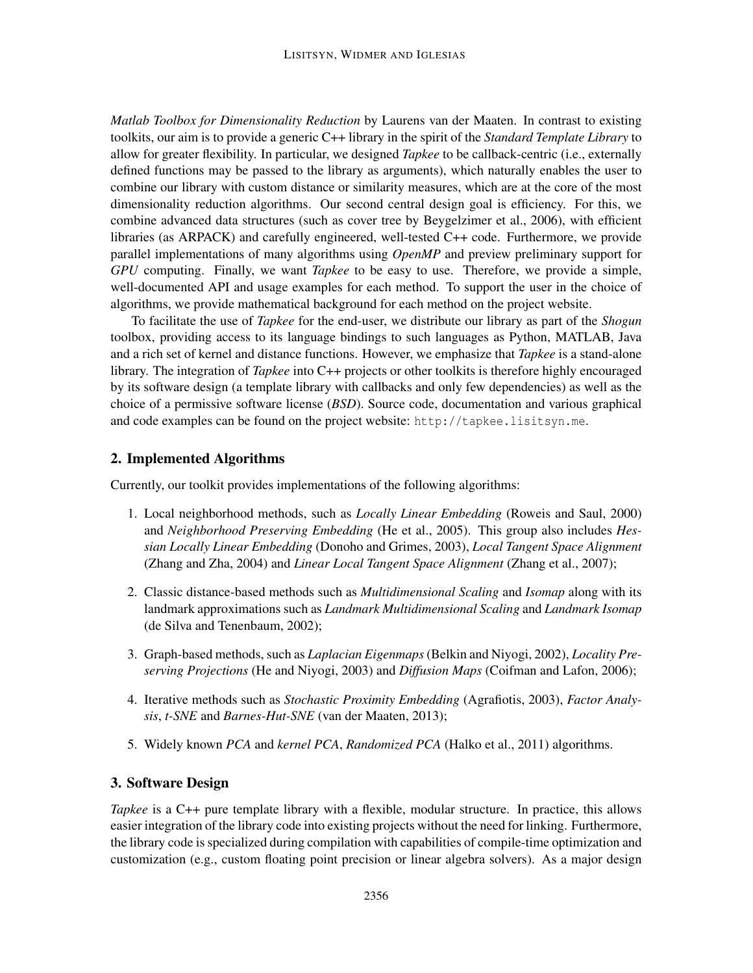*Matlab Toolbox for Dimensionality Reduction* by Laurens van der Maaten. In contrast to existing toolkits, our aim is to provide a generic C++ library in the spirit of the *Standard Template Library* to allow for greater flexibility. In particular, we designed *Tapkee* to be callback-centric (i.e., externally defined functions may be passed to the library as arguments), which naturally enables the user to combine our library with custom distance or similarity measures, which are at the core of the most dimensionality reduction algorithms. Our second central design goal is efficiency. For this, we combine advanced data structures (such as cover tree by Beygelzimer et al., 2006), with efficient libraries (as ARPACK) and carefully engineered, well-tested C++ code. Furthermore, we provide parallel implementations of many algorithms using *OpenMP* and preview preliminary support for *GPU* computing. Finally, we want *Tapkee* to be easy to use. Therefore, we provide a simple, well-documented API and usage examples for each method. To support the user in the choice of algorithms, we provide mathematical background for each method on the project website.

To facilitate the use of *Tapkee* for the end-user, we distribute our library as part of the *Shogun* toolbox, providing access to its language bindings to such languages as Python, MATLAB, Java and a rich set of kernel and distance functions. However, we emphasize that *Tapkee* is a stand-alone library. The integration of *Tapkee* into C++ projects or other toolkits is therefore highly encouraged by its software design (a template library with callbacks and only few dependencies) as well as the choice of a permissive software license (*BSD*). Source code, documentation and various graphical and code examples can be found on the project website: http://tapkee.lisitsyn.me.

# 2. Implemented Algorithms

Currently, our toolkit provides implementations of the following algorithms:

- 1. Local neighborhood methods, such as *Locally Linear Embedding* (Roweis and Saul, 2000) and *Neighborhood Preserving Embedding* (He et al., 2005). This group also includes *Hessian Locally Linear Embedding* (Donoho and Grimes, 2003), *Local Tangent Space Alignment* (Zhang and Zha, 2004) and *Linear Local Tangent Space Alignment* (Zhang et al., 2007);
- 2. Classic distance-based methods such as *Multidimensional Scaling* and *Isomap* along with its landmark approximations such as *Landmark Multidimensional Scaling* and *Landmark Isomap* (de Silva and Tenenbaum, 2002);
- 3. Graph-based methods, such as *Laplacian Eigenmaps*(Belkin and Niyogi, 2002), *Locality Preserving Projections* (He and Niyogi, 2003) and *Diffusion Maps* (Coifman and Lafon, 2006);
- 4. Iterative methods such as *Stochastic Proximity Embedding* (Agrafiotis, 2003), *Factor Analysis*, *t-SNE* and *Barnes-Hut-SNE* (van der Maaten, 2013);
- 5. Widely known *PCA* and *kernel PCA*, *Randomized PCA* (Halko et al., 2011) algorithms.

# 3. Software Design

*Tapkee* is a C++ pure template library with a flexible, modular structure. In practice, this allows easier integration of the library code into existing projects without the need for linking. Furthermore, the library code is specialized during compilation with capabilities of compile-time optimization and customization (e.g., custom floating point precision or linear algebra solvers). As a major design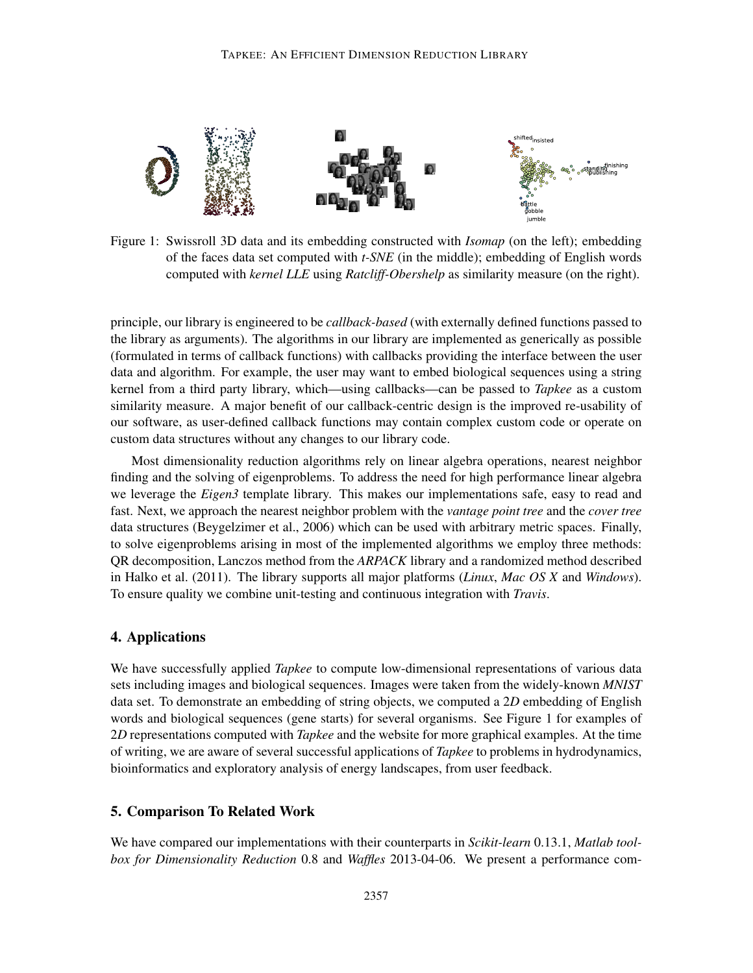

Figure 1: Swissroll 3D data and its embedding constructed with *Isomap* (on the left); embedding of the faces data set computed with *t-SNE* (in the middle); embedding of English words computed with *kernel LLE* using *Ratcliff-Obershelp* as similarity measure (on the right).

principle, our library is engineered to be *callback-based* (with externally defined functions passed to the library as arguments). The algorithms in our library are implemented as generically as possible (formulated in terms of callback functions) with callbacks providing the interface between the user data and algorithm. For example, the user may want to embed biological sequences using a string kernel from a third party library, which—using callbacks—can be passed to *Tapkee* as a custom similarity measure. A major benefit of our callback-centric design is the improved re-usability of our software, as user-defined callback functions may contain complex custom code or operate on custom data structures without any changes to our library code.

Most dimensionality reduction algorithms rely on linear algebra operations, nearest neighbor finding and the solving of eigenproblems. To address the need for high performance linear algebra we leverage the *Eigen3* template library. This makes our implementations safe, easy to read and fast. Next, we approach the nearest neighbor problem with the *vantage point tree* and the *cover tree* data structures (Beygelzimer et al., 2006) which can be used with arbitrary metric spaces. Finally, to solve eigenproblems arising in most of the implemented algorithms we employ three methods: QR decomposition, Lanczos method from the *ARPACK* library and a randomized method described in Halko et al. (2011). The library supports all major platforms (*Linux*, *Mac OS X* and *Windows*). To ensure quality we combine unit-testing and continuous integration with *Travis*.

### 4. Applications

We have successfully applied *Tapkee* to compute low-dimensional representations of various data sets including images and biological sequences. Images were taken from the widely-known *MNIST* data set. To demonstrate an embedding of string objects, we computed a 2*D* embedding of English words and biological sequences (gene starts) for several organisms. See Figure 1 for examples of 2*D* representations computed with *Tapkee* and the website for more graphical examples. At the time of writing, we are aware of several successful applications of *Tapkee* to problems in hydrodynamics, bioinformatics and exploratory analysis of energy landscapes, from user feedback.

# 5. Comparison To Related Work

We have compared our implementations with their counterparts in *Scikit-learn* 0.13.1, *Matlab toolbox for Dimensionality Reduction* 0.8 and *Waffles* 2013-04-06. We present a performance com-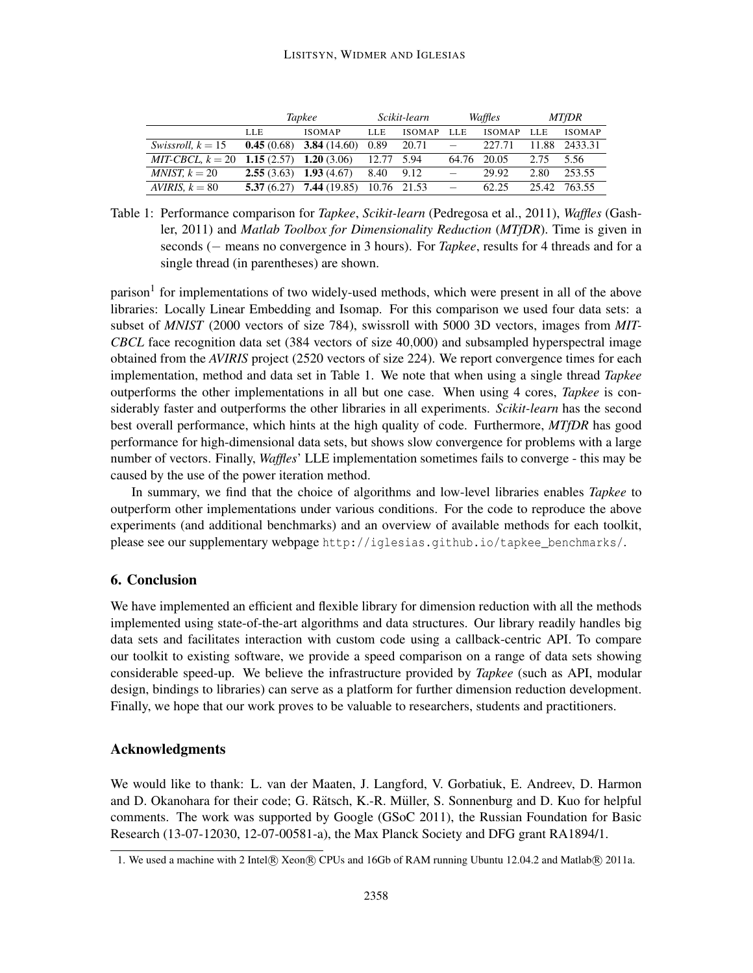### LISITSYN, WIDMER AND IGLESIAS

|                     | Tapkee                      |                                        | Scikit-learn |               | Waffles                  |               | <b>MTfDR</b> |               |
|---------------------|-----------------------------|----------------------------------------|--------------|---------------|--------------------------|---------------|--------------|---------------|
|                     | LLE                         | <b>ISOMAP</b>                          | <b>LLE</b>   | <b>ISOMAP</b> | LLE                      | <b>ISOMAP</b> | LLE          | <b>ISOMAP</b> |
| Swissroll, $k = 15$ |                             | <b>0.45</b> (0.68) <b>3.84</b> (14.60) | 0.89         | 20.71         |                          | 227.71        |              | 11.88 2433.31 |
| $MIT-CBCL, k = 20$  | 1.15 $(2.57)$ 1.20 $(3.06)$ |                                        | 12.77        | 5.94          |                          | 64.76 20.05   | 2.75         | 5.56          |
| $MNIST, k = 20$     |                             | $2.55(3.63)$ 1.93 (4.67)               | 8.40 9.12    |               | $\overline{\phantom{0}}$ | 29.92         | 2.80         | 253.55        |
| AVIRIS, $k = 80$    | 5.37(6.27)                  | 7,44(19.85)                            |              | 10.76 21.53   | $\overline{\phantom{m}}$ | 62.25         | 25.42        | 763.55        |

Table 1: Performance comparison for *Tapkee*, *Scikit-learn* (Pedregosa et al., 2011), *Waffles* (Gashler, 2011) and *Matlab Toolbox for Dimensionality Reduction* (*MTfDR*). Time is given in seconds (− means no convergence in 3 hours). For *Tapkee*, results for 4 threads and for a single thread (in parentheses) are shown.

parison<sup>1</sup> for implementations of two widely-used methods, which were present in all of the above libraries: Locally Linear Embedding and Isomap. For this comparison we used four data sets: a subset of *MNIST* (2000 vectors of size 784), swissroll with 5000 3D vectors, images from *MIT-CBCL* face recognition data set (384 vectors of size 40,000) and subsampled hyperspectral image obtained from the *AVIRIS* project (2520 vectors of size 224). We report convergence times for each implementation, method and data set in Table 1. We note that when using a single thread *Tapkee* outperforms the other implementations in all but one case. When using 4 cores, *Tapkee* is considerably faster and outperforms the other libraries in all experiments. *Scikit-learn* has the second best overall performance, which hints at the high quality of code. Furthermore, *MTfDR* has good performance for high-dimensional data sets, but shows slow convergence for problems with a large number of vectors. Finally, *Waffles*' LLE implementation sometimes fails to converge - this may be caused by the use of the power iteration method.

In summary, we find that the choice of algorithms and low-level libraries enables *Tapkee* to outperform other implementations under various conditions. For the code to reproduce the above experiments (and additional benchmarks) and an overview of available methods for each toolkit, please see our supplementary webpage http://iglesias.github.io/tapkee\_benchmarks/.

# 6. Conclusion

We have implemented an efficient and flexible library for dimension reduction with all the methods implemented using state-of-the-art algorithms and data structures. Our library readily handles big data sets and facilitates interaction with custom code using a callback-centric API. To compare our toolkit to existing software, we provide a speed comparison on a range of data sets showing considerable speed-up. We believe the infrastructure provided by *Tapkee* (such as API, modular design, bindings to libraries) can serve as a platform for further dimension reduction development. Finally, we hope that our work proves to be valuable to researchers, students and practitioners.

## Acknowledgments

We would like to thank: L. van der Maaten, J. Langford, V. Gorbatiuk, E. Andreev, D. Harmon and D. Okanohara for their code; G. Rätsch, K.-R. Müller, S. Sonnenburg and D. Kuo for helpful comments. The work was supported by Google (GSoC 2011), the Russian Foundation for Basic Research (13-07-12030, 12-07-00581-a), the Max Planck Society and DFG grant RA1894/1.

<sup>1.</sup> We used a machine with 2 Intel® Xeon® CPUs and 16Gb of RAM running Ubuntu 12.04.2 and Matlab® 2011a.